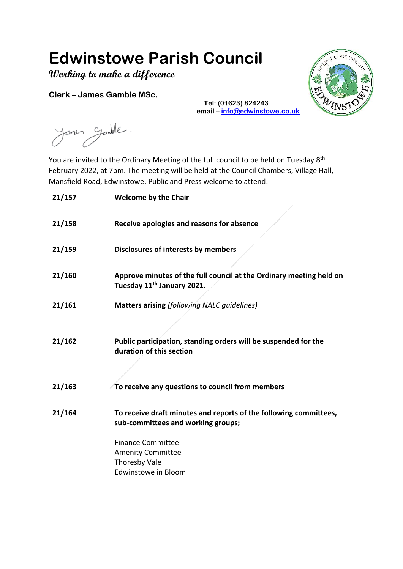# **Edwinstowe Parish Council**

**Working to make a difference**

**Clerk – James Gamble MSc.**



**Tel: (01623) 824243 email – [info@edwinstowe.co.uk](mailto:info@edwinstowe.co.uk)**

Janen Gandle

You are invited to the Ordinary Meeting of the full council to be held on Tuesday 8<sup>th</sup> February 2022, at 7pm. The meeting will be held at the Council Chambers, Village Hall, Mansfield Road, Edwinstowe. Public and Press welcome to attend.

| 21/157 | <b>Welcome by the Chair</b>                                                                                   |
|--------|---------------------------------------------------------------------------------------------------------------|
| 21/158 | Receive apologies and reasons for absence                                                                     |
| 21/159 | <b>Disclosures of interests by members</b>                                                                    |
| 21/160 | Approve minutes of the full council at the Ordinary meeting held on<br>Tuesday 11 <sup>th</sup> January 2021. |
| 21/161 | <b>Matters arising (following NALC guidelines)</b>                                                            |
|        |                                                                                                               |
| 21/162 | Public participation, standing orders will be suspended for the<br>duration of this section                   |
| 21/163 | To receive any questions to council from members                                                              |
| 21/164 | To receive draft minutes and reports of the following committees,<br>sub-committees and working groups;       |
|        | <b>Finance Committee</b>                                                                                      |
|        | <b>Amenity Committee</b>                                                                                      |
|        | Thoresby Vale                                                                                                 |
|        | Edwinstowe in Bloom                                                                                           |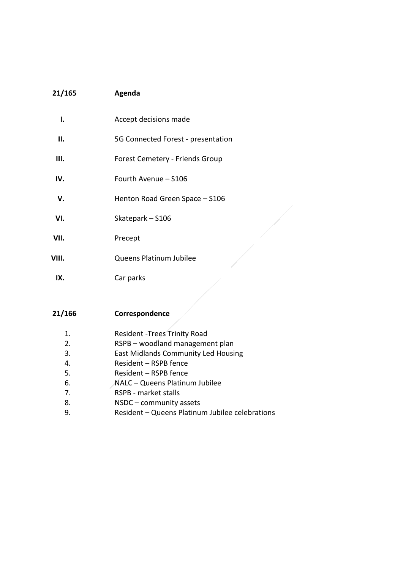### **21/165 Agenda**

| ı.    | Accept decisions made              |
|-------|------------------------------------|
| н.    | 5G Connected Forest - presentation |
| Ш.    | Forest Cemetery - Friends Group    |
| IV.   | Fourth Avenue - S106               |
| v.    | Henton Road Green Space - S106     |
| VI.   | Skatepark - S106                   |
| VII.  | Precept                            |
| VIII. | Queens Platinum Jubilee            |
| IX.   | Car parks                          |

#### **21/166 Correspondence**

- 1. Resident -Trees Trinity Road
- 2. RSPB woodland management plan
- 3. East Midlands Community Led Housing
- 4. Resident RSPB fence
- 5. Resident RSPB fence
- 6. NALC Queens Platinum Jubilee
- 7. RSPB market stalls
- 8. NSDC community assets
- 9. Resident Queens Platinum Jubilee celebrations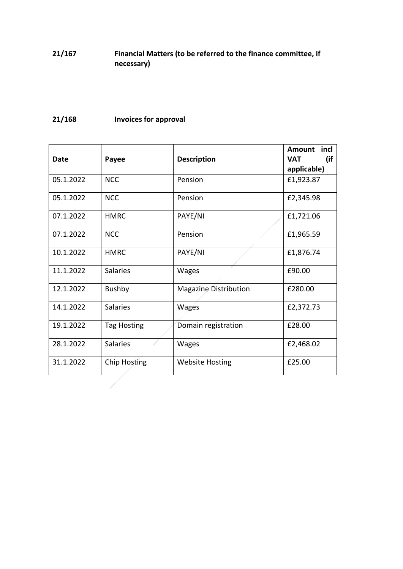## **21/167 Financial Matters (to be referred to the finance committee, if necessary)**

# **21/168 Invoices for approval**

 $\overline{\phantom{a}}$ 

| <b>Date</b> | Payee              | <b>Description</b>     | Amount incl<br>(if<br><b>VAT</b><br>applicable) |
|-------------|--------------------|------------------------|-------------------------------------------------|
| 05.1.2022   | <b>NCC</b>         | Pension                | £1,923.87                                       |
| 05.1.2022   | <b>NCC</b>         | Pension                | £2,345.98                                       |
| 07.1.2022   | <b>HMRC</b>        | PAYE/NI                | £1,721.06                                       |
| 07.1.2022   | <b>NCC</b>         | Pension                | £1,965.59                                       |
| 10.1.2022   | <b>HMRC</b>        | PAYE/NI                | £1,876.74                                       |
| 11.1.2022   | <b>Salaries</b>    | Wages                  | £90.00                                          |
| 12.1.2022   | <b>Bushby</b>      | Magazine Distribution  | £280.00                                         |
| 14.1.2022   | <b>Salaries</b>    | Wages                  | £2,372.73                                       |
| 19.1.2022   | <b>Tag Hosting</b> | Domain registration    | £28.00                                          |
| 28.1.2022   | <b>Salaries</b>    | Wages                  | £2,468.02                                       |
| 31.1.2022   | Chip Hosting       | <b>Website Hosting</b> | £25.00                                          |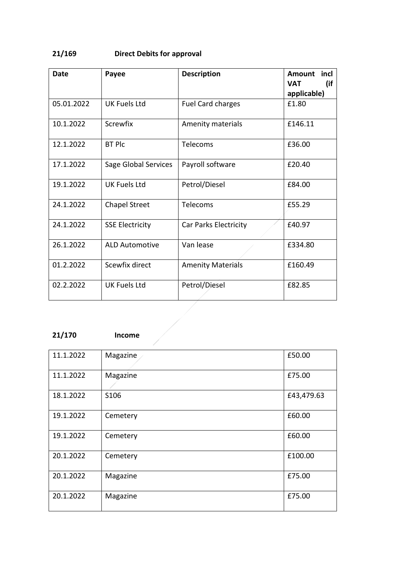# **21/169 Direct Debits for approval**

| <b>Date</b> | Payee                  | <b>Description</b>       | <b>Amount</b><br>incl<br>(if<br><b>VAT</b> |
|-------------|------------------------|--------------------------|--------------------------------------------|
|             |                        |                          | applicable)                                |
| 05.01.2022  | <b>UK Fuels Ltd</b>    | Fuel Card charges        | £1.80                                      |
| 10.1.2022   | <b>Screwfix</b>        | Amenity materials        | £146.11                                    |
| 12.1.2022   | <b>BT Plc</b>          | Telecoms                 | £36.00                                     |
| 17.1.2022   | Sage Global Services   | Payroll software         | £20.40                                     |
| 19.1.2022   | <b>UK Fuels Ltd</b>    | Petrol/Diesel            | £84.00                                     |
| 24.1.2022   | <b>Chapel Street</b>   | Telecoms                 | £55.29                                     |
| 24.1.2022   | <b>SSE Electricity</b> | Car Parks Electricity    | £40.97                                     |
| 26.1.2022   | <b>ALD Automotive</b>  | Van lease                | £334.80                                    |
| 01.2.2022   | Scewfix direct         | <b>Amenity Materials</b> | £160.49                                    |
| 02.2.2022   | <b>UK Fuels Ltd</b>    | Petrol/Diesel            | £82.85                                     |
|             |                        |                          |                                            |
|             |                        |                          |                                            |

# **21/170 Income**

| 11.1.2022 | Magazine | £50.00     |
|-----------|----------|------------|
| 11.1.2022 | Magazine | £75.00     |
| 18.1.2022 | S106     | £43,479.63 |
| 19.1.2022 | Cemetery | £60.00     |
| 19.1.2022 | Cemetery | £60.00     |
| 20.1.2022 | Cemetery | £100.00    |
| 20.1.2022 | Magazine | £75.00     |
| 20.1.2022 | Magazine | £75.00     |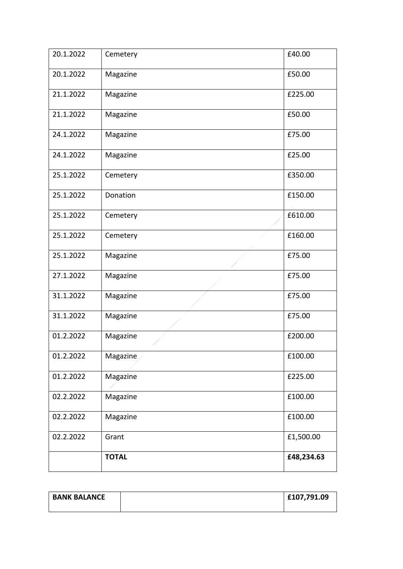| 20.1.2022 | Cemetery     | £40.00     |
|-----------|--------------|------------|
| 20.1.2022 | Magazine     | £50.00     |
| 21.1.2022 | Magazine     | £225.00    |
| 21.1.2022 | Magazine     | £50.00     |
| 24.1.2022 | Magazine     | £75.00     |
| 24.1.2022 | Magazine     | £25.00     |
| 25.1.2022 | Cemetery     | £350.00    |
| 25.1.2022 | Donation     | £150.00    |
| 25.1.2022 | Cemetery     | £610.00    |
| 25.1.2022 | Cemetery     | £160.00    |
| 25.1.2022 | Magazine     | £75.00     |
| 27.1.2022 | Magazine     | £75.00     |
| 31.1.2022 | Magazine     | £75.00     |
| 31.1.2022 | Magazine     | £75.00     |
| 01.2.2022 | Magazine     | £200.00    |
| 01.2.2022 | Magazine     | £100.00    |
| 01.2.2022 | Magazine     | £225.00    |
| 02.2.2022 | Magazine     | £100.00    |
| 02.2.2022 | Magazine     | £100.00    |
| 02.2.2022 | Grant        | £1,500.00  |
|           | <b>TOTAL</b> | £48,234.63 |

| <b>BANK BALANCE</b> | £107,791.09 |
|---------------------|-------------|
|                     |             |